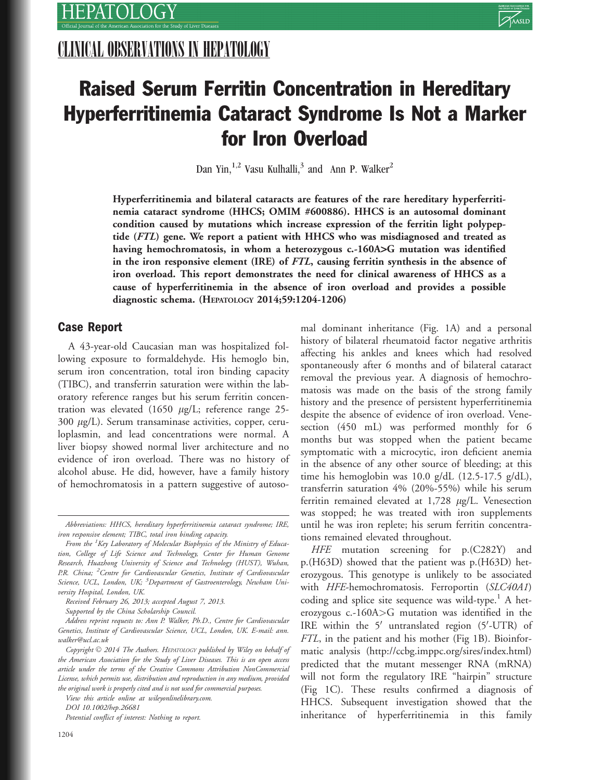# CLINICAL OBSERVATIONS IN HEPATOLOGY



# Raised Serum Ferritin Concentration in Hereditary Hyperferritinemia Cataract Syndrome Is Not a Marker for Iron Overload

Dan Yin,<sup>1,2</sup> Vasu Kulhalli,<sup>3</sup> and Ann P. Walker<sup>2</sup>

Hyperferritinemia and bilateral cataracts are features of the rare hereditary hyperferritinemia cataract syndrome (HHCS; OMIM #600886). HHCS is an autosomal dominant condition caused by mutations which increase expression of the ferritin light polypeptide (FTL) gene. We report a patient with HHCS who was misdiagnosed and treated as having hemochromatosis, in whom a heterozygous c.-160A>G mutation was identified in the iron responsive element (IRE) of FTL, causing ferritin synthesis in the absence of iron overload. This report demonstrates the need for clinical awareness of HHCS as a cause of hyperferritinemia in the absence of iron overload and provides a possible diagnostic schema. (HEPATOLOGY 2014;59:1204-1206)

## Case Report

A 43-year-old Caucasian man was hospitalized following exposure to formaldehyde. His hemoglo bin, serum iron concentration, total iron binding capacity (TIBC), and transferrin saturation were within the laboratory reference ranges but his serum ferritin concentration was elevated (1650  $\mu$ g/L; reference range 25- $300 \mu g/L$ ). Serum transaminase activities, copper, ceruloplasmin, and lead concentrations were normal. A liver biopsy showed normal liver architecture and no evidence of iron overload. There was no history of alcohol abuse. He did, however, have a family history of hemochromatosis in a pattern suggestive of autoso-

Received February 26, 2013; accepted August 7, 2013.

Supported by the China Scholarship Council.

Address reprint requests to: Ann P. Walker, Ph.D., Centre for Cardiovascular Genetics, Institute of Cardiovascular Science, UCL, London, UK. E-mail: ann. walker@ucl.ac.uk

View this article online at wileyonlinelibrary.com.

DOI 10.1002/hep.26681

Potential conflict of interest: Nothing to report.

mal dominant inheritance (Fig. 1A) and a personal history of bilateral rheumatoid factor negative arthritis affecting his ankles and knees which had resolved spontaneously after 6 months and of bilateral cataract removal the previous year. A diagnosis of hemochromatosis was made on the basis of the strong family history and the presence of persistent hyperferritinemia despite the absence of evidence of iron overload. Venesection (450 mL) was performed monthly for 6 months but was stopped when the patient became symptomatic with a microcytic, iron deficient anemia in the absence of any other source of bleeding; at this time his hemoglobin was 10.0 g/dL (12.5-17.5 g/dL), transferrin saturation 4% (20%-55%) while his serum ferritin remained elevated at  $1,728 \mu g/L$ . Venesection was stopped; he was treated with iron supplements until he was iron replete; his serum ferritin concentrations remained elevated throughout.

HFE mutation screening for p.(C282Y) and p.(H63D) showed that the patient was p.(H63D) heterozygous. This genotype is unlikely to be associated with HFE-hemochromatosis. Ferroportin (SLC40A1) coding and splice site sequence was wild-type.<sup>1</sup> A heterozygous c.-160A>G mutation was identified in the IRE within the 5' untranslated region (5'-UTR) of FTL, in the patient and his mother (Fig 1B). Bioinformatic analysis [\(http://ccbg.imppc.org/sires/index.html](http://ccbg.imppc.org/sires/index.html)) predicted that the mutant messenger RNA (mRNA) will not form the regulatory IRE "hairpin" structure (Fig 1C). These results confirmed a diagnosis of HHCS. Subsequent investigation showed that the inheritance of hyperferritinemia in this family

Abbreviations: HHCS, hereditary hyperferritinemia cataract syndrome; IRE, iron responsive element; TIBC, total iron binding capacity.

From the <sup>1</sup>Key Laboratory of Molecular Biophysics of the Ministry of Education, College of Life Science and Technology, Center for Human Genome Research, Huazhong University of Science and Technology (HUST), Wuhan, P.R. China; <sup>2</sup> Centre for Cardiovascular Genetics, Institute of Cardiovascular Science, UCL, London, UK; <sup>3</sup>Department of Gastroenterology, Newham University Hospital, London, UK.

Copyright  $\odot$  2014 The Authors. HEPATOLOGY published by Wiley on behalf of the American Association for the Study of Liver Diseases. This is an open access article under the terms of the Creative Commons Attribution NonCommercial License, which permits use, distribution and reproduction in any medium, provided the original work is properly cited and is not used for commercial purposes.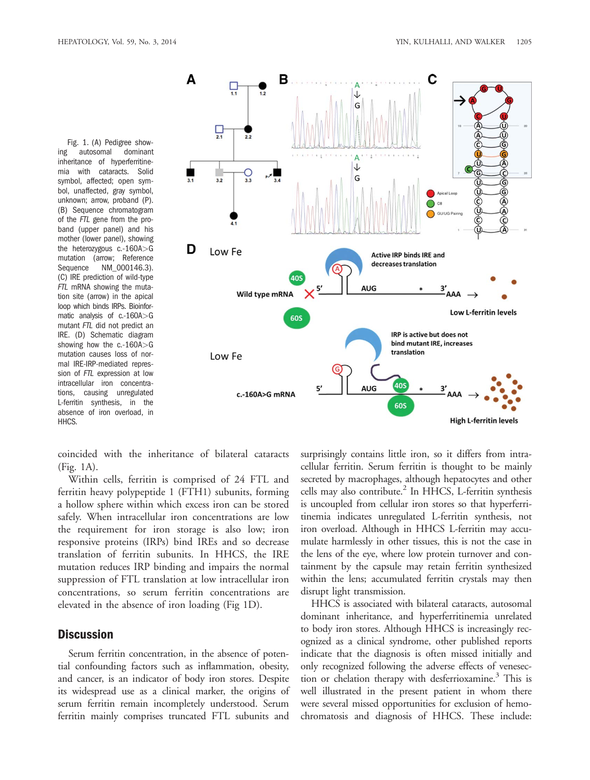Fig. 1. (A) Pedigree showing autosomal dominant inheritance of hyperferritinemia with cataracts. Solid symbol, affected; open symbol, unaffected, gray symbol, unknown; arrow, proband (P). (B) Sequence chromatogram of the FTL gene from the proband (upper panel) and his mother (lower panel), showing the heterozygous c.-160A>G mutation (arrow; Reference Sequence NM\_000146.3). (C) IRE prediction of wild-type FTL mRNA showing the mutation site (arrow) in the apical loop which binds IRPs. Bioinformatic analysis of c.-160A>G mutant FTL did not predict an IRE. (D) Schematic diagram showing how the c.-160A>G mutation causes loss of normal IRE-IRP-mediated repression of FTL expression at low intracellular iron concentrations, causing unregulated L-ferritin synthesis, in the absence of iron overload, in HHC<sub>S</sub>



coincided with the inheritance of bilateral cataracts (Fig. 1A).

Within cells, ferritin is comprised of 24 FTL and ferritin heavy polypeptide 1 (FTH1) subunits, forming a hollow sphere within which excess iron can be stored safely. When intracellular iron concentrations are low the requirement for iron storage is also low; iron responsive proteins (IRPs) bind IREs and so decrease translation of ferritin subunits. In HHCS, the IRE mutation reduces IRP binding and impairs the normal suppression of FTL translation at low intracellular iron concentrations, so serum ferritin concentrations are elevated in the absence of iron loading (Fig 1D).

### **Discussion**

Serum ferritin concentration, in the absence of potential confounding factors such as inflammation, obesity, and cancer, is an indicator of body iron stores. Despite its widespread use as a clinical marker, the origins of serum ferritin remain incompletely understood. Serum ferritin mainly comprises truncated FTL subunits and

surprisingly contains little iron, so it differs from intracellular ferritin. Serum ferritin is thought to be mainly secreted by macrophages, although hepatocytes and other cells may also contribute. $^{2}$  In HHCS, L-ferritin synthesis is uncoupled from cellular iron stores so that hyperferritinemia indicates unregulated L-ferritin synthesis, not iron overload. Although in HHCS L-ferritin may accumulate harmlessly in other tissues, this is not the case in the lens of the eye, where low protein turnover and containment by the capsule may retain ferritin synthesized within the lens; accumulated ferritin crystals may then disrupt light transmission.

HHCS is associated with bilateral cataracts, autosomal dominant inheritance, and hyperferritinemia unrelated to body iron stores. Although HHCS is increasingly recognized as a clinical syndrome, other published reports indicate that the diagnosis is often missed initially and only recognized following the adverse effects of venesection or chelation therapy with desferrioxamine.<sup>3</sup> This is well illustrated in the present patient in whom there were several missed opportunities for exclusion of hemochromatosis and diagnosis of HHCS. These include: